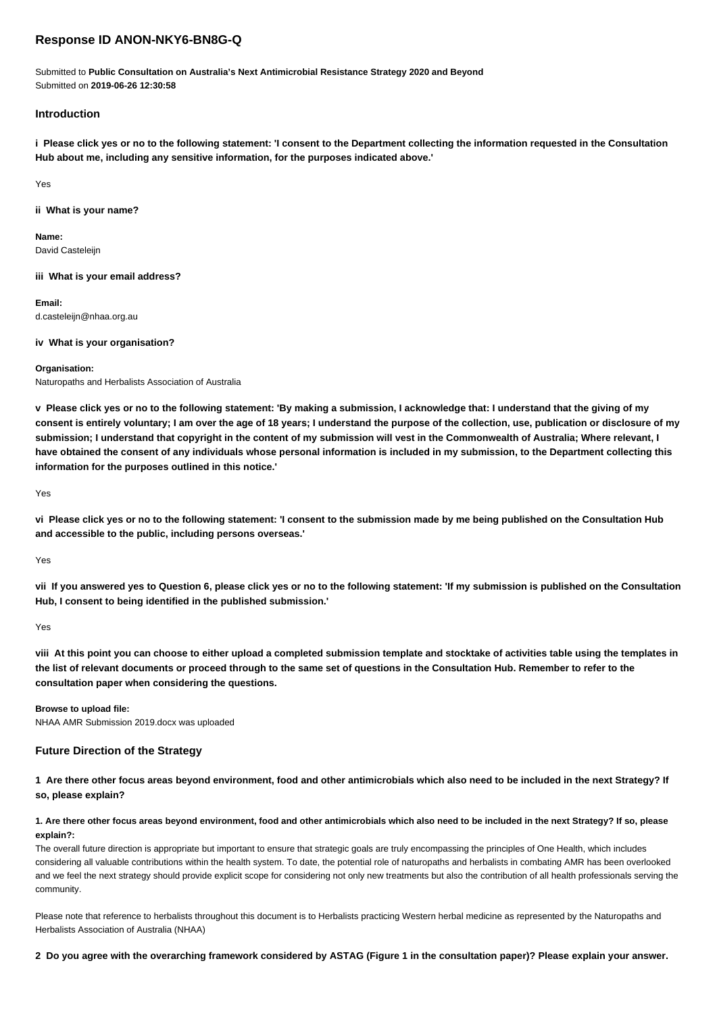# **Response ID ANON-NKY6-BN8G-Q**

Submitted to **Public Consultation on Australia's Next Antimicrobial Resistance Strategy 2020 and Beyond** Submitted on **2019-06-26 12:30:58**

## **Introduction**

**i Please click yes or no to the following statement: 'I consent to the Department collecting the information requested in the Consultation Hub about me, including any sensitive information, for the purposes indicated above.'**

Yes

## **ii What is your name?**

**Name:** David Casteleijn

**iii What is your email address?**

**Email:** d.casteleijn@nhaa.org.au

**iv What is your organisation?**

### **Organisation:**

Naturopaths and Herbalists Association of Australia

**v Please click yes or no to the following statement: 'By making a submission, I acknowledge that: I understand that the giving of my consent is entirely voluntary; I am over the age of 18 years; I understand the purpose of the collection, use, publication or disclosure of my submission; I understand that copyright in the content of my submission will vest in the Commonwealth of Australia; Where relevant, I have obtained the consent of any individuals whose personal information is included in my submission, to the Department collecting this information for the purposes outlined in this notice.'**

Yes

**vi Please click yes or no to the following statement: 'I consent to the submission made by me being published on the Consultation Hub and accessible to the public, including persons overseas.'**

Yes

**vii If you answered yes to Question 6, please click yes or no to the following statement: 'If my submission is published on the Consultation Hub, I consent to being identified in the published submission.'**

Yes

**viii At this point you can choose to either upload a completed submission template and stocktake of activities table using the templates in the list of relevant documents or proceed through to the same set of questions in the Consultation Hub. Remember to refer to the consultation paper when considering the questions.**

**Browse to upload file:** NHAA AMR Submission 2019.docx was uploaded

## **Future Direction of the Strategy**

**1 Are there other focus areas beyond environment, food and other antimicrobials which also need to be included in the next Strategy? If so, please explain?**

**1. Are there other focus areas beyond environment, food and other antimicrobials which also need to be included in the next Strategy? If so, please explain?:**

The overall future direction is appropriate but important to ensure that strategic goals are truly encompassing the principles of One Health, which includes considering all valuable contributions within the health system. To date, the potential role of naturopaths and herbalists in combating AMR has been overlooked and we feel the next strategy should provide explicit scope for considering not only new treatments but also the contribution of all health professionals serving the community.

Please note that reference to herbalists throughout this document is to Herbalists practicing Western herbal medicine as represented by the Naturopaths and Herbalists Association of Australia (NHAA)

**2 Do you agree with the overarching framework considered by ASTAG (Figure 1 in the consultation paper)? Please explain your answer.**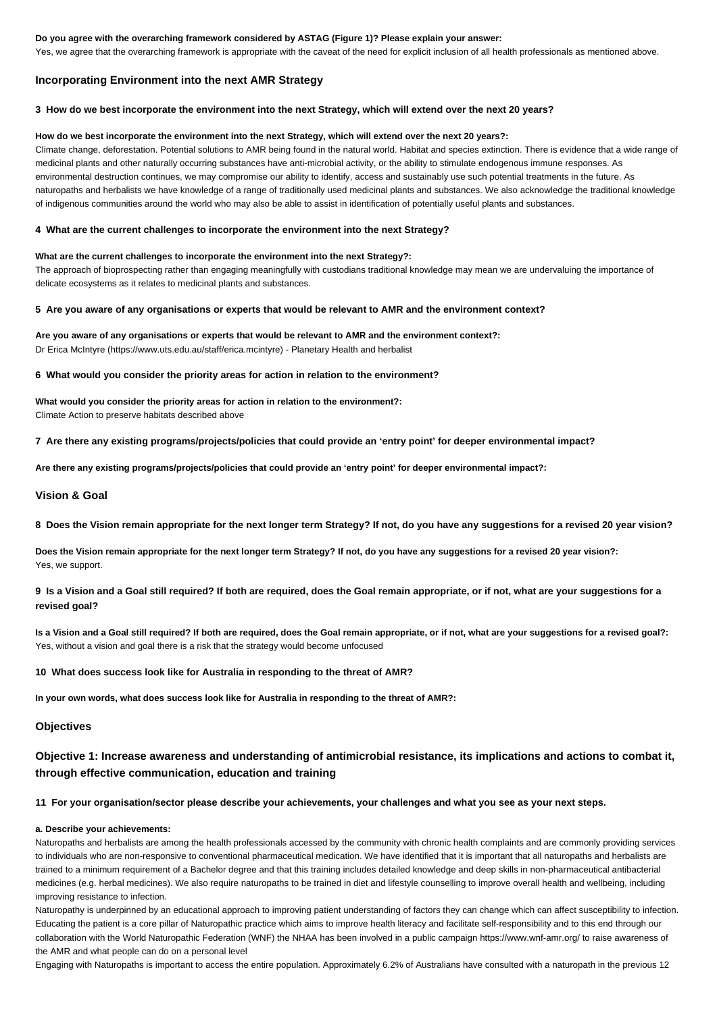### **Do you agree with the overarching framework considered by ASTAG (Figure 1)? Please explain your answer:**

Yes, we agree that the overarching framework is appropriate with the caveat of the need for explicit inclusion of all health professionals as mentioned above.

## **Incorporating Environment into the next AMR Strategy**

### **3 How do we best incorporate the environment into the next Strategy, which will extend over the next 20 years?**

### **How do we best incorporate the environment into the next Strategy, which will extend over the next 20 years?:**

Climate change, deforestation. Potential solutions to AMR being found in the natural world. Habitat and species extinction. There is evidence that a wide range of medicinal plants and other naturally occurring substances have anti-microbial activity, or the ability to stimulate endogenous immune responses. As environmental destruction continues, we may compromise our ability to identify, access and sustainably use such potential treatments in the future. As naturopaths and herbalists we have knowledge of a range of traditionally used medicinal plants and substances. We also acknowledge the traditional knowledge of indigenous communities around the world who may also be able to assist in identification of potentially useful plants and substances.

## **4 What are the current challenges to incorporate the environment into the next Strategy?**

### **What are the current challenges to incorporate the environment into the next Strategy?:**

The approach of bioprospecting rather than engaging meaningfully with custodians traditional knowledge may mean we are undervaluing the importance of delicate ecosystems as it relates to medicinal plants and substances.

### **5 Are you aware of any organisations or experts that would be relevant to AMR and the environment context?**

# **Are you aware of any organisations or experts that would be relevant to AMR and the environment context?:**

Dr Erica McIntyre (https://www.uts.edu.au/staff/erica.mcintyre) - Planetary Health and herbalist

## **6 What would you consider the priority areas for action in relation to the environment?**

## **What would you consider the priority areas for action in relation to the environment?:** Climate Action to preserve habitats described above

### **7 Are there any existing programs/projects/policies that could provide an 'entry point' for deeper environmental impact?**

**Are there any existing programs/projects/policies that could provide an 'entry point' for deeper environmental impact?:**

## **Vision & Goal**

## **8 Does the Vision remain appropriate for the next longer term Strategy? If not, do you have any suggestions for a revised 20 year vision?**

**Does the Vision remain appropriate for the next longer term Strategy? If not, do you have any suggestions for a revised 20 year vision?:** Yes, we support.

## **9 Is a Vision and a Goal still required? If both are required, does the Goal remain appropriate, or if not, what are your suggestions for a revised goal?**

**Is a Vision and a Goal still required? If both are required, does the Goal remain appropriate, or if not, what are your suggestions for a revised goal?:** Yes, without a vision and goal there is a risk that the strategy would become unfocused

### **10 What does success look like for Australia in responding to the threat of AMR?**

**In your own words, what does success look like for Australia in responding to the threat of AMR?:**

## **Objectives**

# **Objective 1: Increase awareness and understanding of antimicrobial resistance, its implications and actions to combat it, through effective communication, education and training**

## **11 For your organisation/sector please describe your achievements, your challenges and what you see as your next steps.**

### **a. Describe your achievements:**

Naturopaths and herbalists are among the health professionals accessed by the community with chronic health complaints and are commonly providing services to individuals who are non-responsive to conventional pharmaceutical medication. We have identified that it is important that all naturopaths and herbalists are trained to a minimum requirement of a Bachelor degree and that this training includes detailed knowledge and deep skills in non-pharmaceutical antibacterial medicines (e.g. herbal medicines). We also require naturopaths to be trained in diet and lifestyle counselling to improve overall health and wellbeing, including improving resistance to infection.

Naturopathy is underpinned by an educational approach to improving patient understanding of factors they can change which can affect susceptibility to infection. Educating the patient is a core pillar of Naturopathic practice which aims to improve health literacy and facilitate self-responsibility and to this end through our collaboration with the World Naturopathic Federation (WNF) the NHAA has been involved in a public campaign https://www.wnf-amr.org/ to raise awareness of the AMR and what people can do on a personal level

Engaging with Naturopaths is important to access the entire population. Approximately 6.2% of Australians have consulted with a naturopath in the previous 12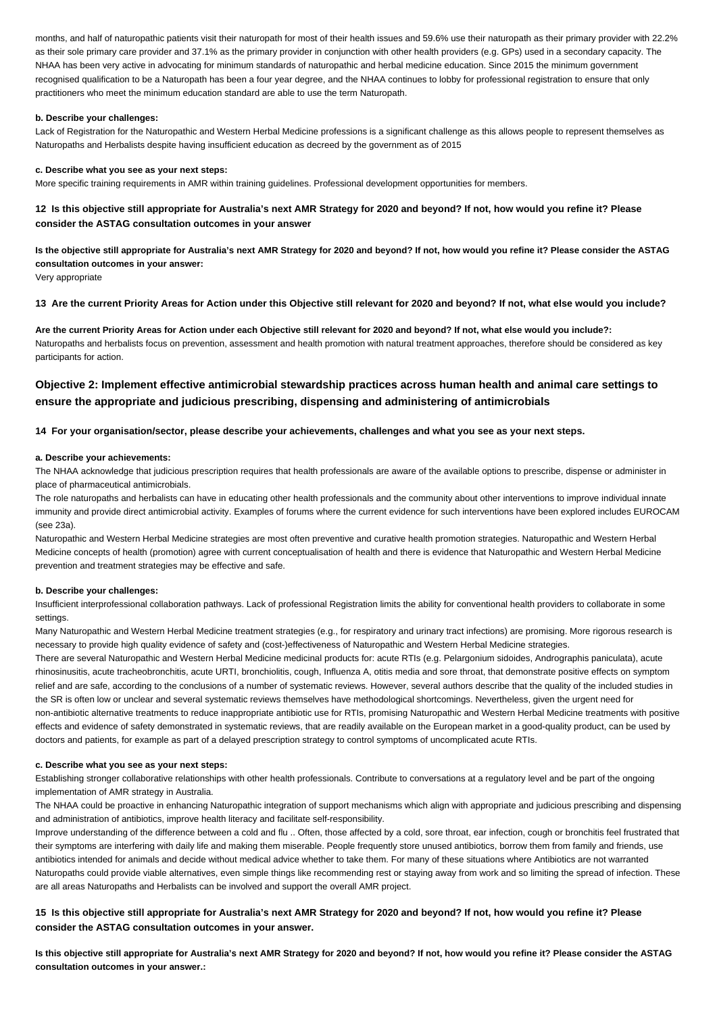months, and half of naturopathic patients visit their naturopath for most of their health issues and 59.6% use their naturopath as their primary provider with 22.2% as their sole primary care provider and 37.1% as the primary provider in conjunction with other health providers (e.g. GPs) used in a secondary capacity. The NHAA has been very active in advocating for minimum standards of naturopathic and herbal medicine education. Since 2015 the minimum government recognised qualification to be a Naturopath has been a four year degree, and the NHAA continues to lobby for professional registration to ensure that only practitioners who meet the minimum education standard are able to use the term Naturopath.

## **b. Describe your challenges:**

Lack of Registration for the Naturopathic and Western Herbal Medicine professions is a significant challenge as this allows people to represent themselves as Naturopaths and Herbalists despite having insufficient education as decreed by the government as of 2015

### **c. Describe what you see as your next steps:**

More specific training requirements in AMR within training guidelines. Professional development opportunities for members.

**12 Is this objective still appropriate for Australia's next AMR Strategy for 2020 and beyond? If not, how would you refine it? Please consider the ASTAG consultation outcomes in your answer**

**Is the objective still appropriate for Australia's next AMR Strategy for 2020 and beyond? If not, how would you refine it? Please consider the ASTAG consultation outcomes in your answer:**

Very appropriate

### **13 Are the current Priority Areas for Action under this Objective still relevant for 2020 and beyond? If not, what else would you include?**

**Are the current Priority Areas for Action under each Objective still relevant for 2020 and beyond? If not, what else would you include?:** Naturopaths and herbalists focus on prevention, assessment and health promotion with natural treatment approaches, therefore should be considered as key participants for action.

# **Objective 2: Implement effective antimicrobial stewardship practices across human health and animal care settings to ensure the appropriate and judicious prescribing, dispensing and administering of antimicrobials**

### **14 For your organisation/sector, please describe your achievements, challenges and what you see as your next steps.**

#### **a. Describe your achievements:**

The NHAA acknowledge that judicious prescription requires that health professionals are aware of the available options to prescribe, dispense or administer in place of pharmaceutical antimicrobials.

The role naturopaths and herbalists can have in educating other health professionals and the community about other interventions to improve individual innate immunity and provide direct antimicrobial activity. Examples of forums where the current evidence for such interventions have been explored includes EUROCAM (see 23a).

Naturopathic and Western Herbal Medicine strategies are most often preventive and curative health promotion strategies. Naturopathic and Western Herbal Medicine concepts of health (promotion) agree with current conceptualisation of health and there is evidence that Naturopathic and Western Herbal Medicine prevention and treatment strategies may be effective and safe.

### **b. Describe your challenges:**

Insufficient interprofessional collaboration pathways. Lack of professional Registration limits the ability for conventional health providers to collaborate in some settings.

Many Naturopathic and Western Herbal Medicine treatment strategies (e.g., for respiratory and urinary tract infections) are promising. More rigorous research is necessary to provide high quality evidence of safety and (cost-)effectiveness of Naturopathic and Western Herbal Medicine strategies.

There are several Naturopathic and Western Herbal Medicine medicinal products for: acute RTIs (e.g. Pelargonium sidoides, Andrographis paniculata), acute rhinosinusitis, acute tracheobronchitis, acute URTI, bronchiolitis, cough, Influenza A, otitis media and sore throat, that demonstrate positive effects on symptom relief and are safe, according to the conclusions of a number of systematic reviews. However, several authors describe that the quality of the included studies in the SR is often low or unclear and several systematic reviews themselves have methodological shortcomings. Nevertheless, given the urgent need for non-antibiotic alternative treatments to reduce inappropriate antibiotic use for RTIs, promising Naturopathic and Western Herbal Medicine treatments with positive effects and evidence of safety demonstrated in systematic reviews, that are readily available on the European market in a good-quality product, can be used by doctors and patients, for example as part of a delayed prescription strategy to control symptoms of uncomplicated acute RTIs.

#### **c. Describe what you see as your next steps:**

Establishing stronger collaborative relationships with other health professionals. Contribute to conversations at a regulatory level and be part of the ongoing implementation of AMR strategy in Australia.

The NHAA could be proactive in enhancing Naturopathic integration of support mechanisms which align with appropriate and judicious prescribing and dispensing and administration of antibiotics, improve health literacy and facilitate self-responsibility.

Improve understanding of the difference between a cold and flu .. Often, those affected by a cold, sore throat, ear infection, cough or bronchitis feel frustrated that their symptoms are interfering with daily life and making them miserable. People frequently store unused antibiotics, borrow them from family and friends, use antibiotics intended for animals and decide without medical advice whether to take them. For many of these situations where Antibiotics are not warranted Naturopaths could provide viable alternatives, even simple things like recommending rest or staying away from work and so limiting the spread of infection. These are all areas Naturopaths and Herbalists can be involved and support the overall AMR project.

# **15 Is this objective still appropriate for Australia's next AMR Strategy for 2020 and beyond? If not, how would you refine it? Please consider the ASTAG consultation outcomes in your answer.**

**Is this objective still appropriate for Australia's next AMR Strategy for 2020 and beyond? If not, how would you refine it? Please consider the ASTAG consultation outcomes in your answer.:**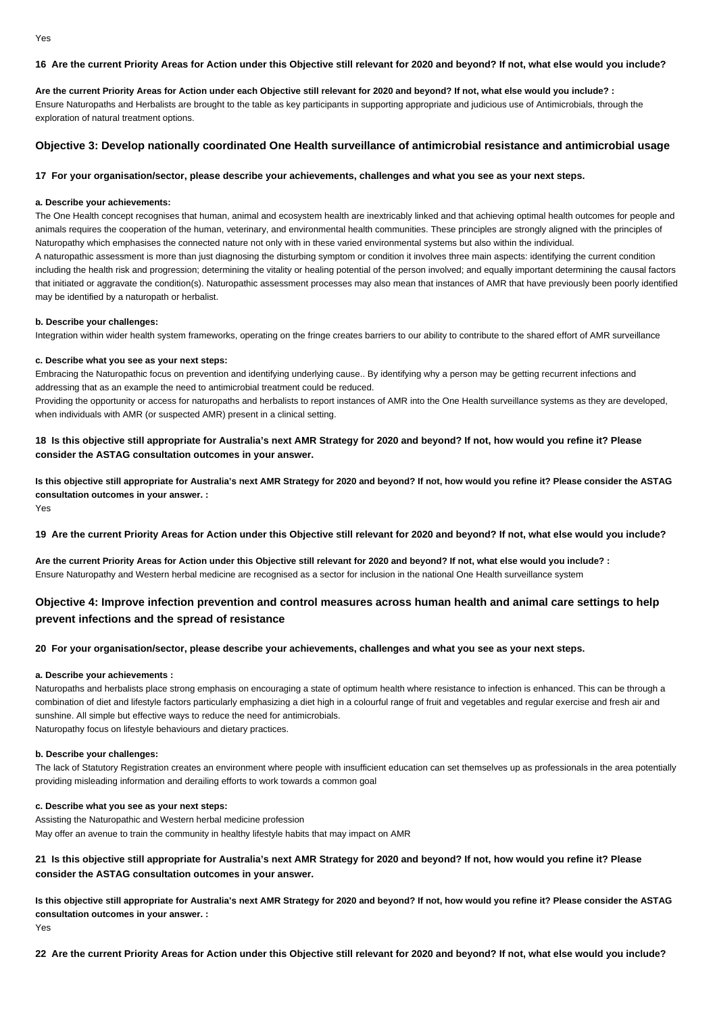## **16 Are the current Priority Areas for Action under this Objective still relevant for 2020 and beyond? If not, what else would you include?**

**Are the current Priority Areas for Action under each Objective still relevant for 2020 and beyond? If not, what else would you include? :** Ensure Naturopaths and Herbalists are brought to the table as key participants in supporting appropriate and judicious use of Antimicrobials, through the exploration of natural treatment options.

## **Objective 3: Develop nationally coordinated One Health surveillance of antimicrobial resistance and antimicrobial usage**

## **17 For your organisation/sector, please describe your achievements, challenges and what you see as your next steps.**

### **a. Describe your achievements:**

The One Health concept recognises that human, animal and ecosystem health are inextricably linked and that achieving optimal health outcomes for people and animals requires the cooperation of the human, veterinary, and environmental health communities. These principles are strongly aligned with the principles of Naturopathy which emphasises the connected nature not only with in these varied environmental systems but also within the individual. A naturopathic assessment is more than just diagnosing the disturbing symptom or condition it involves three main aspects: identifying the current condition including the health risk and progression; determining the vitality or healing potential of the person involved; and equally important determining the causal factors that initiated or aggravate the condition(s). Naturopathic assessment processes may also mean that instances of AMR that have previously been poorly identified may be identified by a naturopath or herbalist.

## **b. Describe your challenges:**

Integration within wider health system frameworks, operating on the fringe creates barriers to our ability to contribute to the shared effort of AMR surveillance

### **c. Describe what you see as your next steps:**

Embracing the Naturopathic focus on prevention and identifying underlying cause.. By identifying why a person may be getting recurrent infections and addressing that as an example the need to antimicrobial treatment could be reduced.

Providing the opportunity or access for naturopaths and herbalists to report instances of AMR into the One Health surveillance systems as they are developed, when individuals with AMR (or suspected AMR) present in a clinical setting.

# **18 Is this objective still appropriate for Australia's next AMR Strategy for 2020 and beyond? If not, how would you refine it? Please consider the ASTAG consultation outcomes in your answer.**

**Is this objective still appropriate for Australia's next AMR Strategy for 2020 and beyond? If not, how would you refine it? Please consider the ASTAG consultation outcomes in your answer. :** Yes

**19 Are the current Priority Areas for Action under this Objective still relevant for 2020 and beyond? If not, what else would you include?**

**Are the current Priority Areas for Action under this Objective still relevant for 2020 and beyond? If not, what else would you include? :** Ensure Naturopathy and Western herbal medicine are recognised as a sector for inclusion in the national One Health surveillance system

# **Objective 4: Improve infection prevention and control measures across human health and animal care settings to help prevent infections and the spread of resistance**

### **20 For your organisation/sector, please describe your achievements, challenges and what you see as your next steps.**

### **a. Describe your achievements :**

Naturopaths and herbalists place strong emphasis on encouraging a state of optimum health where resistance to infection is enhanced. This can be through a combination of diet and lifestyle factors particularly emphasizing a diet high in a colourful range of fruit and vegetables and regular exercise and fresh air and sunshine. All simple but effective ways to reduce the need for antimicrobials. Naturopathy focus on lifestyle behaviours and dietary practices.

## **b. Describe your challenges:**

The lack of Statutory Registration creates an environment where people with insufficient education can set themselves up as professionals in the area potentially providing misleading information and derailing efforts to work towards a common goal

## **c. Describe what you see as your next steps:**

Assisting the Naturopathic and Western herbal medicine profession May offer an avenue to train the community in healthy lifestyle habits that may impact on AMR

## **21 Is this objective still appropriate for Australia's next AMR Strategy for 2020 and beyond? If not, how would you refine it? Please consider the ASTAG consultation outcomes in your answer.**

**Is this objective still appropriate for Australia's next AMR Strategy for 2020 and beyond? If not, how would you refine it? Please consider the ASTAG consultation outcomes in your answer. :** Yes

**22 Are the current Priority Areas for Action under this Objective still relevant for 2020 and beyond? If not, what else would you include?**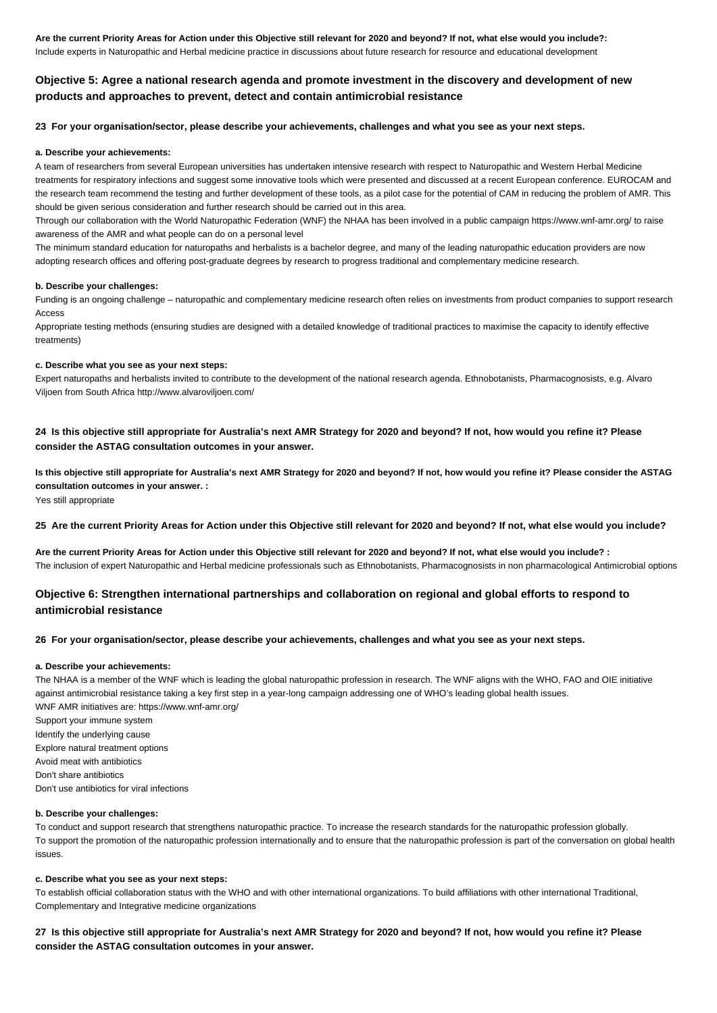**Are the current Priority Areas for Action under this Objective still relevant for 2020 and beyond? If not, what else would you include?:** Include experts in Naturopathic and Herbal medicine practice in discussions about future research for resource and educational development

# **Objective 5: Agree a national research agenda and promote investment in the discovery and development of new products and approaches to prevent, detect and contain antimicrobial resistance**

### **23 For your organisation/sector, please describe your achievements, challenges and what you see as your next steps.**

### **a. Describe your achievements:**

A team of researchers from several European universities has undertaken intensive research with respect to Naturopathic and Western Herbal Medicine treatments for respiratory infections and suggest some innovative tools which were presented and discussed at a recent European conference. EUROCAM and the research team recommend the testing and further development of these tools, as a pilot case for the potential of CAM in reducing the problem of AMR. This should be given serious consideration and further research should be carried out in this area.

Through our collaboration with the World Naturopathic Federation (WNF) the NHAA has been involved in a public campaign https://www.wnf-amr.org/ to raise awareness of the AMR and what people can do on a personal level

The minimum standard education for naturopaths and herbalists is a bachelor degree, and many of the leading naturopathic education providers are now adopting research offices and offering post-graduate degrees by research to progress traditional and complementary medicine research.

#### **b. Describe your challenges:**

Funding is an ongoing challenge – naturopathic and complementary medicine research often relies on investments from product companies to support research Access

Appropriate testing methods (ensuring studies are designed with a detailed knowledge of traditional practices to maximise the capacity to identify effective treatments)

### **c. Describe what you see as your next steps:**

Expert naturopaths and herbalists invited to contribute to the development of the national research agenda. Ethnobotanists, Pharmacognosists, e.g. Alvaro Viljoen from South Africa http://www.alvaroviljoen.com/

## **24 Is this objective still appropriate for Australia's next AMR Strategy for 2020 and beyond? If not, how would you refine it? Please consider the ASTAG consultation outcomes in your answer.**

**Is this objective still appropriate for Australia's next AMR Strategy for 2020 and beyond? If not, how would you refine it? Please consider the ASTAG consultation outcomes in your answer. :**

Yes still appropriate

### **25 Are the current Priority Areas for Action under this Objective still relevant for 2020 and beyond? If not, what else would you include?**

**Are the current Priority Areas for Action under this Objective still relevant for 2020 and beyond? If not, what else would you include? :** The inclusion of expert Naturopathic and Herbal medicine professionals such as Ethnobotanists, Pharmacognosists in non pharmacological Antimicrobial options

# **Objective 6: Strengthen international partnerships and collaboration on regional and global efforts to respond to antimicrobial resistance**

## **26 For your organisation/sector, please describe your achievements, challenges and what you see as your next steps.**

### **a. Describe your achievements:**

The NHAA is a member of the WNF which is leading the global naturopathic profession in research. The WNF aligns with the WHO, FAO and OIE initiative against antimicrobial resistance taking a key first step in a year-long campaign addressing one of WHO's leading global health issues. WNF AMR initiatives are: https://www.wnf-amr.org/

Support your immune system Identify the underlying cause Explore natural treatment options Avoid meat with antibiotics Don't share antibiotics Don't use antibiotics for viral infections

## **b. Describe your challenges:**

To conduct and support research that strengthens naturopathic practice. To increase the research standards for the naturopathic profession globally. To support the promotion of the naturopathic profession internationally and to ensure that the naturopathic profession is part of the conversation on global health issues.

### **c. Describe what you see as your next steps:**

To establish official collaboration status with the WHO and with other international organizations. To build affiliations with other international Traditional, Complementary and Integrative medicine organizations

**27 Is this objective still appropriate for Australia's next AMR Strategy for 2020 and beyond? If not, how would you refine it? Please consider the ASTAG consultation outcomes in your answer.**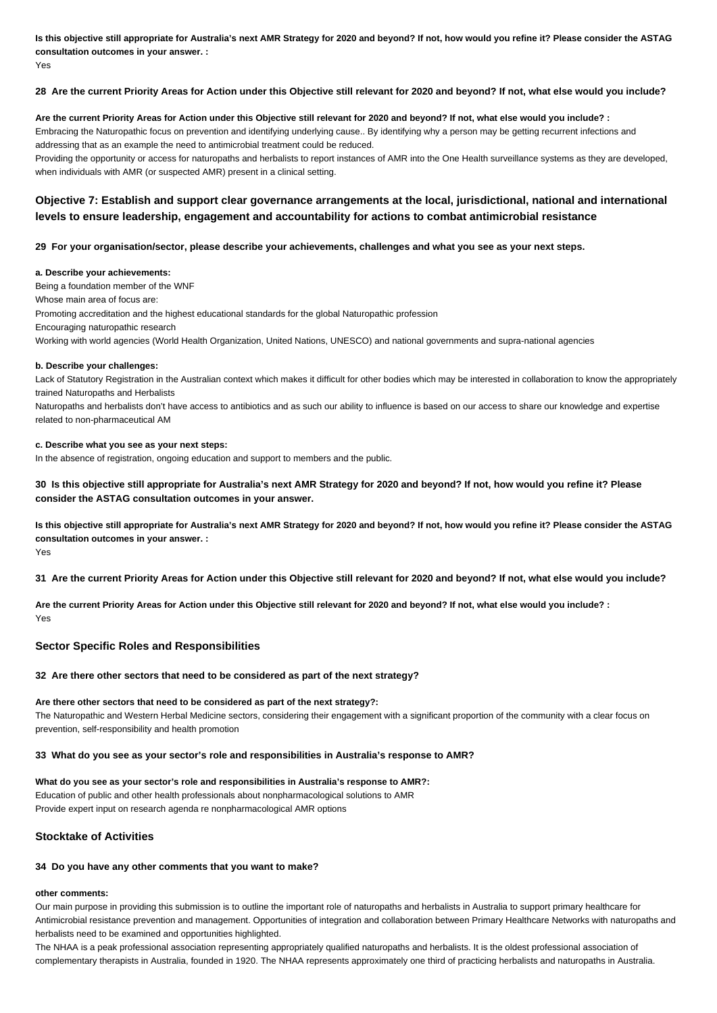**Is this objective still appropriate for Australia's next AMR Strategy for 2020 and beyond? If not, how would you refine it? Please consider the ASTAG consultation outcomes in your answer. :** Yes

## **28 Are the current Priority Areas for Action under this Objective still relevant for 2020 and beyond? If not, what else would you include?**

### **Are the current Priority Areas for Action under this Objective still relevant for 2020 and beyond? If not, what else would you include? :**

Embracing the Naturopathic focus on prevention and identifying underlying cause.. By identifying why a person may be getting recurrent infections and addressing that as an example the need to antimicrobial treatment could be reduced.

Providing the opportunity or access for naturopaths and herbalists to report instances of AMR into the One Health surveillance systems as they are developed, when individuals with AMR (or suspected AMR) present in a clinical setting.

# **Objective 7: Establish and support clear governance arrangements at the local, jurisdictional, national and international levels to ensure leadership, engagement and accountability for actions to combat antimicrobial resistance**

## **29 For your organisation/sector, please describe your achievements, challenges and what you see as your next steps.**

### **a. Describe your achievements:**

Being a foundation member of the WNF Whose main area of focus are: Promoting accreditation and the highest educational standards for the global Naturopathic profession Encouraging naturopathic research Working with world agencies (World Health Organization, United Nations, UNESCO) and national governments and supra-national agencies

### **b. Describe your challenges:**

Lack of Statutory Registration in the Australian context which makes it difficult for other bodies which may be interested in collaboration to know the appropriately trained Naturopaths and Herbalists

Naturopaths and herbalists don't have access to antibiotics and as such our ability to influence is based on our access to share our knowledge and expertise related to non-pharmaceutical AM

## **c. Describe what you see as your next steps:**

In the absence of registration, ongoing education and support to members and the public.

## **30 Is this objective still appropriate for Australia's next AMR Strategy for 2020 and beyond? If not, how would you refine it? Please consider the ASTAG consultation outcomes in your answer.**

**Is this objective still appropriate for Australia's next AMR Strategy for 2020 and beyond? If not, how would you refine it? Please consider the ASTAG consultation outcomes in your answer. :**

Yes

**31 Are the current Priority Areas for Action under this Objective still relevant for 2020 and beyond? If not, what else would you include?**

**Are the current Priority Areas for Action under this Objective still relevant for 2020 and beyond? If not, what else would you include? :** Yes

## **Sector Specific Roles and Responsibilities**

## **32 Are there other sectors that need to be considered as part of the next strategy?**

### **Are there other sectors that need to be considered as part of the next strategy?:**

The Naturopathic and Western Herbal Medicine sectors, considering their engagement with a significant proportion of the community with a clear focus on prevention, self-responsibility and health promotion

### **33 What do you see as your sector's role and responsibilities in Australia's response to AMR?**

## **What do you see as your sector's role and responsibilities in Australia's response to AMR?:**

Education of public and other health professionals about nonpharmacological solutions to AMR

Provide expert input on research agenda re nonpharmacological AMR options

## **Stocktake of Activities**

### **34 Do you have any other comments that you want to make?**

# **other comments:**

Our main purpose in providing this submission is to outline the important role of naturopaths and herbalists in Australia to support primary healthcare for Antimicrobial resistance prevention and management. Opportunities of integration and collaboration between Primary Healthcare Networks with naturopaths and herbalists need to be examined and opportunities highlighted.

The NHAA is a peak professional association representing appropriately qualified naturopaths and herbalists. It is the oldest professional association of complementary therapists in Australia, founded in 1920. The NHAA represents approximately one third of practicing herbalists and naturopaths in Australia.